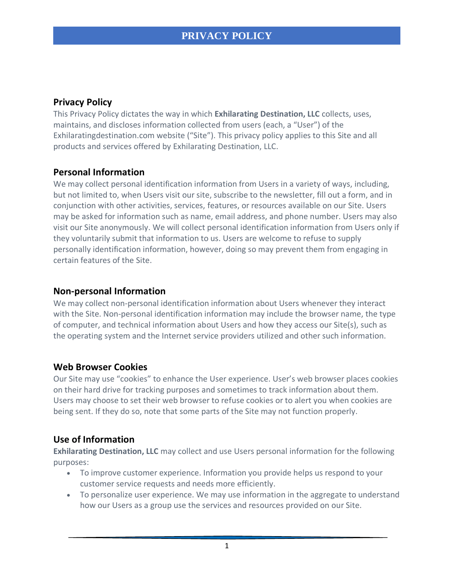## **Privacy Policy**

This Privacy Policy dictates the way in which **Exhilarating Destination, LLC** collects, uses, maintains, and discloses information collected from users (each, a "User") of the Exhilaratingdestination.com website ("Site"). This privacy policy applies to this Site and all products and services offered by Exhilarating Destination, LLC.

#### **Personal Information**

We may collect personal identification information from Users in a variety of ways, including, but not limited to, when Users visit our site, subscribe to the newsletter, fill out a form, and in conjunction with other activities, services, features, or resources available on our Site. Users may be asked for information such as name, email address, and phone number. Users may also visit our Site anonymously. We will collect personal identification information from Users only if they voluntarily submit that information to us. Users are welcome to refuse to supply personally identification information, however, doing so may prevent them from engaging in certain features of the Site.

#### **Non-personal Information**

We may collect non-personal identification information about Users whenever they interact with the Site. Non-personal identification information may include the browser name, the type of computer, and technical information about Users and how they access our Site(s), such as the operating system and the Internet service providers utilized and other such information.

### **Web Browser Cookies**

Our Site may use "cookies" to enhance the User experience. User's web browser places cookies on their hard drive for tracking purposes and sometimes to track information about them. Users may choose to set their web browser to refuse cookies or to alert you when cookies are being sent. If they do so, note that some parts of the Site may not function properly.

### **Use of Information**

**Exhilarating Destination, LLC** may collect and use Users personal information for the following purposes:

- To improve customer experience. Information you provide helps us respond to your customer service requests and needs more efficiently.
- To personalize user experience. We may use information in the aggregate to understand how our Users as a group use the services and resources provided on our Site.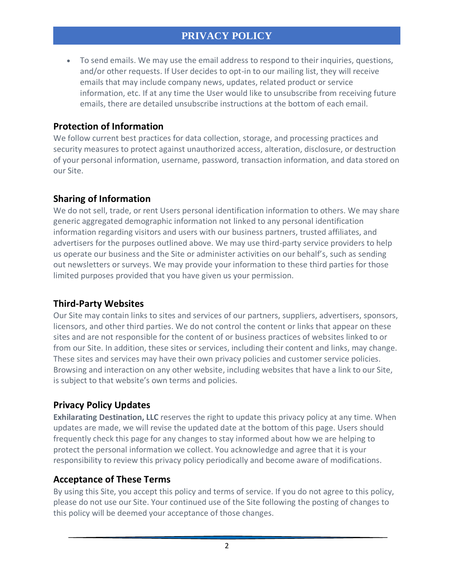• To send emails. We may use the email address to respond to their inquiries, questions, and/or other requests. If User decides to opt-in to our mailing list, they will receive emails that may include company news, updates, related product or service information, etc. If at any time the User would like to unsubscribe from receiving future emails, there are detailed unsubscribe instructions at the bottom of each email.

## **Protection of Information**

We follow current best practices for data collection, storage, and processing practices and security measures to protect against unauthorized access, alteration, disclosure, or destruction of your personal information, username, password, transaction information, and data stored on our Site.

# **Sharing of Information**

We do not sell, trade, or rent Users personal identification information to others. We may share generic aggregated demographic information not linked to any personal identification information regarding visitors and users with our business partners, trusted affiliates, and advertisers for the purposes outlined above. We may use third-party service providers to help us operate our business and the Site or administer activities on our behalf's, such as sending out newsletters or surveys. We may provide your information to these third parties for those limited purposes provided that you have given us your permission.

### **Third-Party Websites**

Our Site may contain links to sites and services of our partners, suppliers, advertisers, sponsors, licensors, and other third parties. We do not control the content or links that appear on these sites and are not responsible for the content of or business practices of websites linked to or from our Site. In addition, these sites or services, including their content and links, may change. These sites and services may have their own privacy policies and customer service policies. Browsing and interaction on any other website, including websites that have a link to our Site, is subject to that website's own terms and policies.

# **Privacy Policy Updates**

**Exhilarating Destination, LLC** reserves the right to update this privacy policy at any time. When updates are made, we will revise the updated date at the bottom of this page. Users should frequently check this page for any changes to stay informed about how we are helping to protect the personal information we collect. You acknowledge and agree that it is your responsibility to review this privacy policy periodically and become aware of modifications.

### **Acceptance of These Terms**

By using this Site, you accept this policy and terms of service. If you do not agree to this policy, please do not use our Site. Your continued use of the Site following the posting of changes to this policy will be deemed your acceptance of those changes.